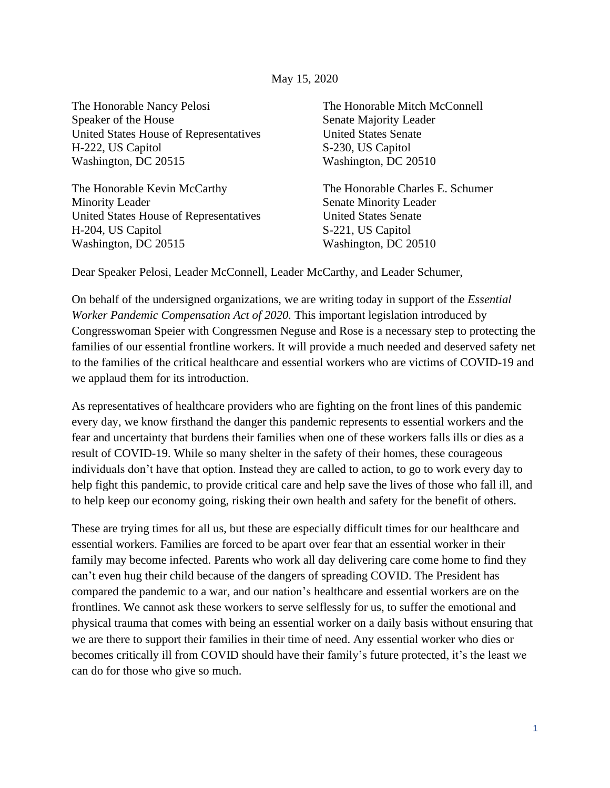## May 15, 2020

The Honorable Nancy Pelosi Speaker of the House United States House of Representatives H-222, US Capitol Washington, DC 20515

The Honorable Kevin McCarthy Minority Leader United States House of Representatives H-204, US Capitol Washington, DC 20515

The Honorable Mitch McConnell Senate Majority Leader United States Senate S-230, US Capitol Washington, DC 20510

The Honorable Charles E. Schumer Senate Minority Leader United States Senate S-221, US Capitol Washington, DC 20510

Dear Speaker Pelosi, Leader McConnell, Leader McCarthy, and Leader Schumer,

On behalf of the undersigned organizations, we are writing today in support of the *Essential Worker Pandemic Compensation Act of 2020.* This important legislation introduced by Congresswoman Speier with Congressmen Neguse and Rose is a necessary step to protecting the families of our essential frontline workers. It will provide a much needed and deserved safety net to the families of the critical healthcare and essential workers who are victims of COVID-19 and we applaud them for its introduction.

As representatives of healthcare providers who are fighting on the front lines of this pandemic every day, we know firsthand the danger this pandemic represents to essential workers and the fear and uncertainty that burdens their families when one of these workers falls ills or dies as a result of COVID-19. While so many shelter in the safety of their homes, these courageous individuals don't have that option. Instead they are called to action, to go to work every day to help fight this pandemic, to provide critical care and help save the lives of those who fall ill, and to help keep our economy going, risking their own health and safety for the benefit of others.

These are trying times for all us, but these are especially difficult times for our healthcare and essential workers. Families are forced to be apart over fear that an essential worker in their family may become infected. Parents who work all day delivering care come home to find they can't even hug their child because of the dangers of spreading COVID. The President has compared the pandemic to a war, and our nation's healthcare and essential workers are on the frontlines. We cannot ask these workers to serve selflessly for us, to suffer the emotional and physical trauma that comes with being an essential worker on a daily basis without ensuring that we are there to support their families in their time of need. Any essential worker who dies or becomes critically ill from COVID should have their family's future protected, it's the least we can do for those who give so much.